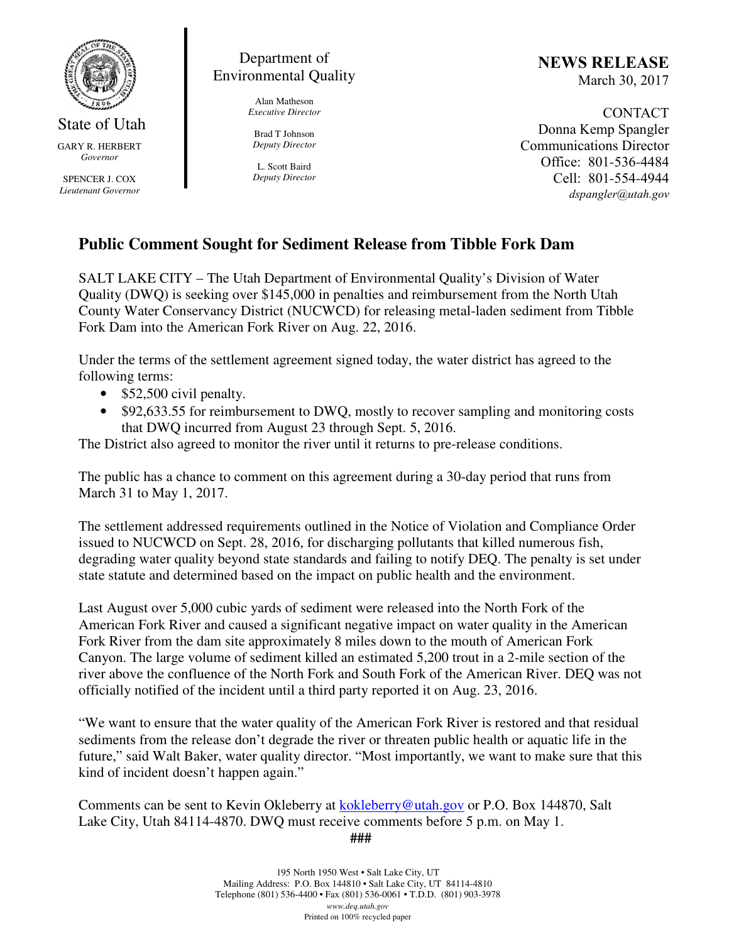

State of Utah GARY R. HERBERT *Governor* 

SPENCER J. COX *Lieutenant Governor* 

## Department of Environmental Quality

Alan Matheson *Executive Director* 

Brad T Johnson *Deputy Director* 

L. Scott Baird *Deputy Director* NEWS RELEASE March 30, 2017

CONTACT Donna Kemp Spangler Communications Director Office: 801-536-4484 Cell: 801-554-4944 dspangler@utah.gov

## **Public Comment Sought for Sediment Release from Tibble Fork Dam**

SALT LAKE CITY – The Utah Department of Environmental Quality's Division of Water Quality (DWQ) is seeking over \$145,000 in penalties and reimbursement from the North Utah County Water Conservancy District (NUCWCD) for releasing metal-laden sediment from Tibble Fork Dam into the American Fork River on Aug. 22, 2016.

Under the terms of the settlement agreement signed today, the water district has agreed to the following terms:

- \$52,500 civil penalty.
- \$92,633.55 for reimbursement to DWQ, mostly to recover sampling and monitoring costs that DWQ incurred from August 23 through Sept. 5, 2016.

The District also agreed to monitor the river until it returns to pre-release conditions.

The public has a chance to comment on this agreement during a 30-day period that runs from March 31 to May 1, 2017.

The settlement addressed requirements outlined in the Notice of Violation and Compliance Order issued to NUCWCD on Sept. 28, 2016, for discharging pollutants that killed numerous fish, degrading water quality beyond state standards and failing to notify DEQ. The penalty is set under state statute and determined based on the impact on public health and the environment.

Last August over 5,000 cubic yards of sediment were released into the North Fork of the American Fork River and caused a significant negative impact on water quality in the American Fork River from the dam site approximately 8 miles down to the mouth of American Fork Canyon. The large volume of sediment killed an estimated 5,200 trout in a 2-mile section of the river above the confluence of the North Fork and South Fork of the American River. DEQ was not officially notified of the incident until a third party reported it on Aug. 23, 2016.

"We want to ensure that the water quality of the American Fork River is restored and that residual sediments from the release don't degrade the river or threaten public health or aquatic life in the future," said Walt Baker, water quality director. "Most importantly, we want to make sure that this kind of incident doesn't happen again."

Comments can be sent to Kevin Okleberry at kokleberry@utah.gov or P.O. Box 144870, Salt Lake City, Utah 84114-4870. DWQ must receive comments before 5 p.m. on May 1.

**###**